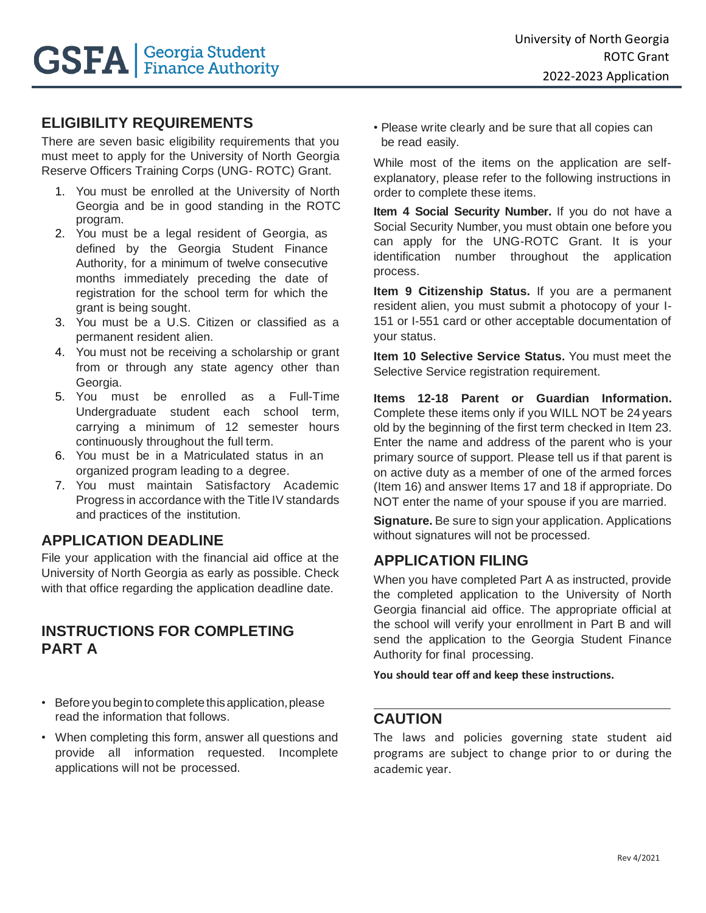# **ELIGIBILITY REQUIREMENTS**

There are seven basic eligibility requirements that you must meet to apply for the University of North Georgia Reserve Officers Training Corps (UNG- ROTC) Grant.

- 1. You must be enrolled at the University of North Georgia and be in good standing in the ROTC program.
- 2. You must be a legal resident of Georgia, as defined by the Georgia Student Finance Authority, for a minimum of twelve consecutive months immediately preceding the date of registration for the school term for which the grant is being sought.
- 3. You must be a U.S. Citizen or classified as a permanent resident alien.
- 4. You must not be receiving a scholarship or grant from or through any state agency other than Georgia.
- 5. You must be enrolled as a Full-Time Undergraduate student each school term, carrying a minimum of 12 semester hours continuously throughout the full term.
- 6. You must be in a Matriculated status in an organized program leading to a degree.
- 7. You must maintain Satisfactory Academic Progress in accordance with the Title IV standards and practices of the institution.

# **APPLICATION DEADLINE**

File your application with the financial aid office at the University of North Georgia as early as possible. Check with that office regarding the application deadline date.

### **INSTRUCTIONS FOR COMPLETING PART A**

- Before you begin to complete this application, please read the information that follows.
- When completing this form, answer all questions and provide all information requested. Incomplete applications will not be processed.

• Please write clearly and be sure that all copies can be read easily.

While most of the items on the application are selfexplanatory, please refer to the following instructions in order to complete these items.

**Item 4 Social Security Number.** If you do not have a Social Security Number, you must obtain one before you can apply for the UNG-ROTC Grant. It is your identification number throughout the application process.

**Item 9 Citizenship Status.** If you are a permanent resident alien, you must submit a photocopy of your I-151 or I-551 card or other acceptable documentation of your status.

**Item 10 Selective Service Status.** You must meet the Selective Service registration requirement.

**Items 12-18 Parent or Guardian Information.**  Complete these items only if you WILL NOT be 24 years old by the beginning of the first term checked in Item 23. Enter the name and address of the parent who is your primary source of support. Please tell us if that parent is on active duty as a member of one of the armed forces (Item 16) and answer Items 17 and 18 if appropriate. Do NOT enter the name of your spouse if you are married.

**Signature.** Be sure to sign your application. Applications without signatures will not be processed.

# **APPLICATION FILING**

When you have completed Part A as instructed, provide the completed application to the University of North Georgia financial aid office. The appropriate official at the school will verify your enrollment in Part B and will send the application to the Georgia Student Finance Authority for final processing.

**You should tear off and keep these instructions.**

#### **CAUTION**

The laws and policies governing state student aid programs are subject to change prior to or during the academic year.